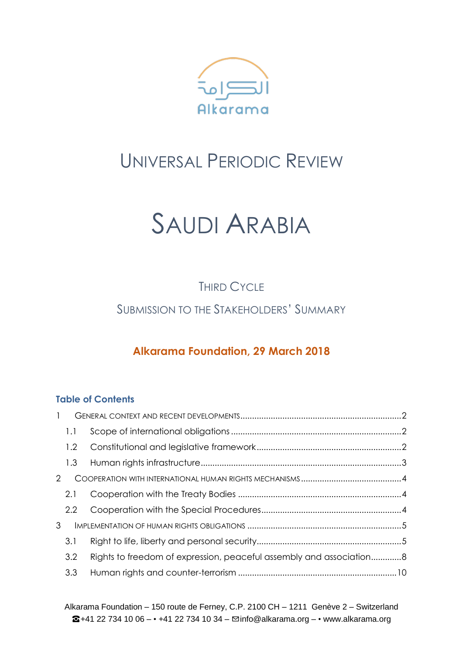

# UNIVERSAL PERIODIC REVIEW

# SAUDI ARABIA

THIRD CYCLE

SUBMISSION TO THE STAKEHOLDERS' SUMMARY

### **Alkarama Foundation, 29 March 2018**

### **Table of Contents**

| $\mathbf{1}$   |     |                                                                     |  |
|----------------|-----|---------------------------------------------------------------------|--|
|                | 1.1 |                                                                     |  |
|                | 1.2 |                                                                     |  |
|                | 1.3 |                                                                     |  |
| $\mathcal{P}$  |     |                                                                     |  |
|                | 2.1 |                                                                     |  |
|                | 2.2 |                                                                     |  |
| 3 <sup>1</sup> |     |                                                                     |  |
|                | 3.1 |                                                                     |  |
|                | 3.2 | Rights to freedom of expression, peaceful assembly and association8 |  |
|                | 3.3 |                                                                     |  |

Alkarama Foundation – 150 route de Ferney, C.P. 2100 CH – 1211 Genève 2 – Switzerland  $\bullet$ +41 22 734 10 06 - • +41 22 734 10 34 -  $\Xi$ info@alkarama.org - • www.alkarama.org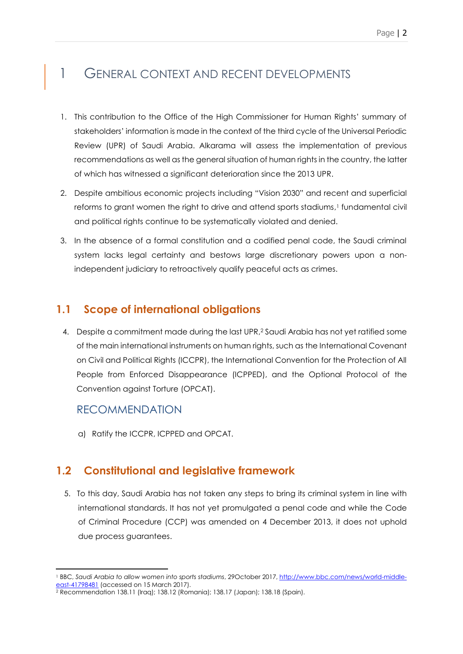### <span id="page-1-0"></span>1 GENERAL CONTEXT AND RECENT DEVELOPMENTS

- 1. This contribution to the Office of the High Commissioner for Human Rights' summary of stakeholders' information is made in the context of the third cycle of the Universal Periodic Review (UPR) of Saudi Arabia. Alkarama will assess the implementation of previous recommendations as well as the general situation of human rights in the country, the latter of which has witnessed a significant deterioration since the 2013 UPR.
- 2. Despite ambitious economic projects including "Vision 2030" and recent and superficial reforms to grant women the right to drive and attend sports stadiums, <sup>1</sup> fundamental civil and political rights continue to be systematically violated and denied.
- 3. In the absence of a formal constitution and a codified penal code, the Saudi criminal system lacks legal certainty and bestows large discretionary powers upon a nonindependent judiciary to retroactively qualify peaceful acts as crimes.

### <span id="page-1-1"></span>**1.1 Scope of international obligations**

4. Despite a commitment made during the last UPR, <sup>2</sup> Saudi Arabia has not yet ratified some of the main international instruments on human rights, such as the International Covenant on Civil and Political Rights (ICCPR), the International Convention for the Protection of All People from Enforced Disappearance (ICPPED), and the Optional Protocol of the Convention against Torture (OPCAT).

### RECOMMENDATION

**.** 

a) Ratify the ICCPR, ICPPED and OPCAT.

### <span id="page-1-2"></span>**1.2 Constitutional and legislative framework**

5. To this day, Saudi Arabia has not taken any steps to bring its criminal system in line with international standards. It has not yet promulgated a penal code and while the Code of Criminal Procedure (CCP) was amended on 4 December 2013, it does not uphold due process guarantees.

<sup>1</sup> BBC, *Saudi Arabia to allow women into sports stadiums*, 29October 2017[, http://www.bbc.com/news/world-middle](http://www.bbc.com/news/world-middle-east-41798481)[east-41798481](http://www.bbc.com/news/world-middle-east-41798481) (accessed on 15 March 2017).

<sup>2</sup> Recommendation 138.11 (Iraq); 138.12 (Romania); 138.17 (Japan); 138.18 (Spain).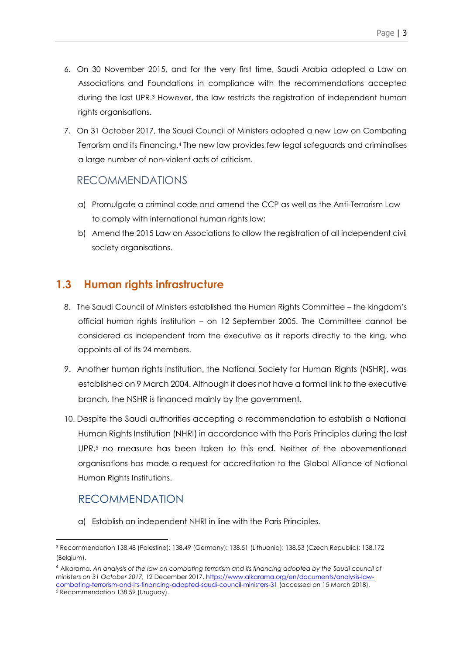- 6. On 30 November 2015, and for the very first time, Saudi Arabia adopted a Law on Associations and Foundations in compliance with the recommendations accepted during the last UPR. <sup>3</sup> However, the law restricts the registration of independent human rights organisations.
- 7. On 31 October 2017, the Saudi Council of Ministers adopted a new Law on Combating Terrorism and its Financing. <sup>4</sup> The new law provides few legal safeguards and criminalises a large number of non-violent acts of criticism.

### RECOMMENDATIONS

- a) Promulgate a criminal code and amend the CCP as well as the Anti-Terrorism Law to comply with international human rights law;
- b) Amend the 2015 Law on Associations to allow the registration of all independent civil society organisations.

### <span id="page-2-0"></span>**1.3 Human rights infrastructure**

- 8. The Saudi Council of Ministers established the Human Rights Committee the kingdom's official human rights institution – on 12 September 2005. The Committee cannot be considered as independent from the executive as it reports directly to the king, who appoints all of its 24 members.
- 9. Another human rights institution, the National Society for Human Rights (NSHR), was established on 9 March 2004. Although it does not have a formal link to the executive branch, the NSHR is financed mainly by the government.
- 10. Despite the Saudi authorities accepting a recommendation to establish a National Human Rights Institution (NHRI) in accordance with the Paris Principles during the last UPR, <sup>5</sup> no measure has been taken to this end. Neither of the abovementioned organisations has made a request for accreditation to the Global Alliance of National Human Rights Institutions.

### RECOMMENDATION

a) Establish an independent NHRI in line with the Paris Principles.

<sup>-</sup><sup>3</sup> Recommendation 138.48 (Palestine); 138.49 (Germany); 138.51 (Lithuania); 138.53 (Czech Republic); 138.172 (Belgium).

<sup>4</sup> Alkarama, *An analysis of the law on combating terrorism and its financing adopted by the Saudi council of ministers on 31 October 2017,* 12 December 2017, [https://www.alkarama.org/en/documents/analysis-law](https://www.alkarama.org/en/documents/analysis-law-combating-terrorism-and-its-financing-adopted-saudi-council-ministers-31)[combating-terrorism-and-its-financing-adopted-saudi-council-ministers-31](https://www.alkarama.org/en/documents/analysis-law-combating-terrorism-and-its-financing-adopted-saudi-council-ministers-31) (accessed on 15 March 2018). <sup>5</sup> Recommendation 138.59 (Uruguay).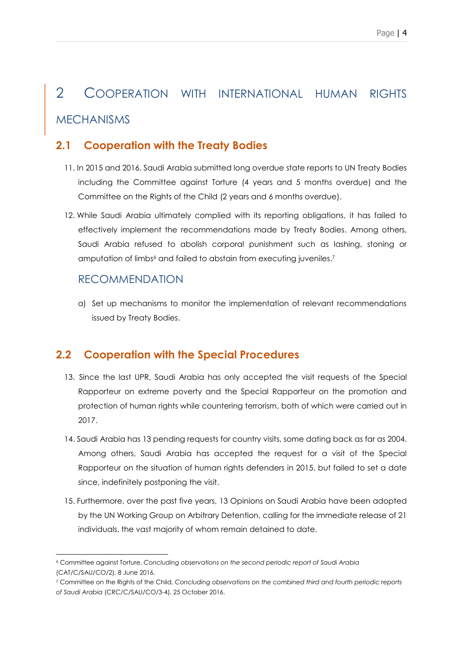## <span id="page-3-0"></span>2 COOPERATION WITH INTERNATIONAL HUMAN RIGHTS MECHANISMS

### <span id="page-3-1"></span>**2.1 Cooperation with the Treaty Bodies**

- 11. In 2015 and 2016, Saudi Arabia submitted long overdue state reports to UN Treaty Bodies including the Committee against Torture (4 years and 5 months overdue) and the Committee on the Rights of the Child (2 years and 6 months overdue).
- 12. While Saudi Arabia ultimately complied with its reporting obligations, it has failed to effectively implement the recommendations made by Treaty Bodies. Among others, Saudi Arabia refused to abolish corporal punishment such as lashing, stoning or amputation of limbs<sup>6</sup> and failed to abstain from executing juveniles.<sup>7</sup>

#### RECOMMENDATION

a) Set up mechanisms to monitor the implementation of relevant recommendations issued by Treaty Bodies.

### <span id="page-3-2"></span>**2.2 Cooperation with the Special Procedures**

- 13. Since the last UPR, Saudi Arabia has only accepted the visit requests of the Special Rapporteur on extreme poverty and the Special Rapporteur on the promotion and protection of human rights while countering terrorism, both of which were carried out in 2017.
- 14. Saudi Arabia has 13 pending requests for country visits, some dating back as far as 2004. Among others, Saudi Arabia has accepted the request for a visit of the Special Rapporteur on the situation of human rights defenders in 2015, but failed to set a date since, indefinitely postponing the visit.
- 15. Furthermore, over the past five years, 13 Opinions on Saudi Arabia have been adopted by the UN Working Group on Arbitrary Detention, calling for the immediate release of 21 individuals, the vast majority of whom remain detained to date.

<sup>-</sup><sup>6</sup> Committee against Torture, *Concluding observations on the second periodic report of Saudi Arabia* (CAT/C/SAU/CO/2), 8 June 2016.

<sup>7</sup> Committee on the Rights of the Child, *Concluding observations on the combined third and fourth periodic reports of Saudi Arabia* (CRC/C/SAU/CO/3-4), 25 October 2016.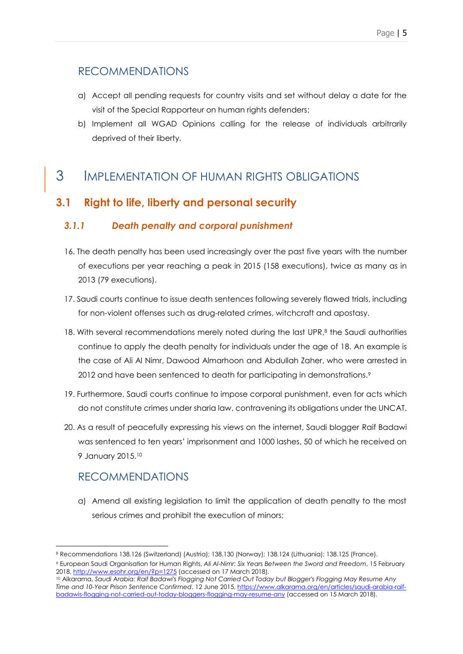### RECOMMENDATIONS

- a) Accept all pending requests for country visits and set without delay a date for the visit of the Special Rapporteur on human rights defenders;
- b) Implement all WGAD Opinions calling for the release of individuals arbitrarily deprived of their liberty.

### <span id="page-4-0"></span>3 IMPLEMENTATION OF HUMAN RIGHTS OBLIGATIONS

### <span id="page-4-1"></span>**3.1 Right to life, liberty and personal security**

### *3.1.1 Death penalty and corporal punishment*

- 16. The death penalty has been used increasingly over the past five years with the number of executions per year reaching a peak in 2015 (158 executions), twice as many as in 2013 (79 executions).
- 17. Saudi courts continue to issue death sentences following severely flawed trials, including for non-violent offenses such as drug-related crimes, witchcraft and apostasy.
- 18. With several recommendations merely noted during the last UPR,<sup>8</sup> the Saudi authorities continue to apply the death penalty for individuals under the age of 18. An example is the case of Ali Al Nimr, Dawood Almarhoon and Abdullah Zaher, who were arrested in 2012 and have been sentenced to death for participating in demonstrations.<sup>9</sup>
- 19. Furthermore, Saudi courts continue to impose corporal punishment, even for acts which do not constitute crimes under sharia law, contravening its obligations under the UNCAT.
- 20. As a result of peacefully expressing his views on the internet, Saudi blogger Raif Badawi was sentenced to ten years' imprisonment and 1000 lashes, 50 of which he received on 9 January 2015. 10

### RECOMMENDATIONS

a) Amend all existing legislation to limit the application of death penalty to the most serious crimes and prohibit the execution of minors;

<sup>-</sup><sup>8</sup> Recommendations 138.126 (Switzerland) (Austria); 138.130 (Norway); 138.124 (Lithuania); 138.125 (France).

<sup>9</sup> European Saudi Organisation for Human Rights, *Ali Al-Nimr: Six Years Between the Sword and Freedom*, 15 February 2018[, http://www.esohr.org/en/?p=1275](http://www.esohr.org/en/?p=1275) (accessed on 17 March 2018).

<sup>10</sup> Alkarama, *Saudi Arabia: Raif Badawi's Flogging Not Carried Out Today but Blogger's Flogging May Resume Any Time and 10-Year Prison Sentence Confirmed*, 12 June 2015[, https://www.alkarama.org/en/articles/saudi-arabia-raif](https://www.alkarama.org/en/articles/saudi-arabia-raif-badawis-flogging-not-carried-out-today-bloggers-flogging-may-resume-any)[badawis-flogging-not-carried-out-today-bloggers-flogging-may-resume-any](https://www.alkarama.org/en/articles/saudi-arabia-raif-badawis-flogging-not-carried-out-today-bloggers-flogging-may-resume-any) (accessed on 15 March 2018).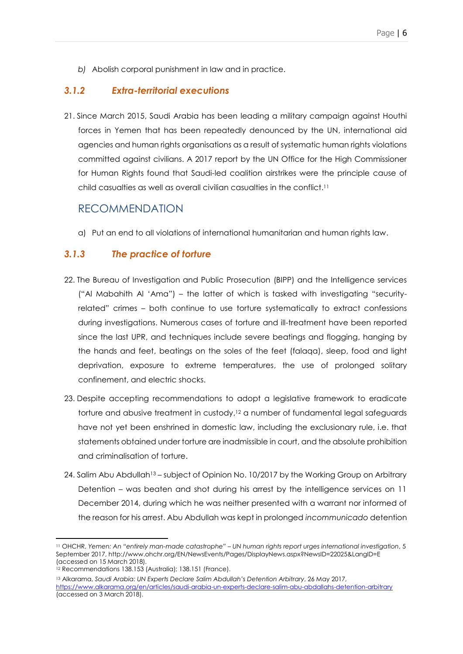*b)* Abolish corporal punishment in law and in practice.

#### *3.1.2 Extra-territorial executions*

21. Since March 2015, Saudi Arabia has been leading a military campaign against Houthi forces in Yemen that has been repeatedly denounced by the UN, international aid agencies and human rights organisations as a result of systematic human rights violations committed against civilians. A 2017 report by the UN Office for the High Commissioner for Human Rights found that Saudi-led coalition airstrikes were the principle cause of child casualties as well as overall civilian casualties in the conflict. 11

### RECOMMENDATION

a) Put an end to all violations of international humanitarian and human rights law.

#### *3.1.3 The practice of torture*

- 22. The Bureau of Investigation and Public Prosecution (BIPP) and the Intelligence services ("Al Mabahith Al 'Ama") – the latter of which is tasked with investigating "securityrelated" crimes – both continue to use torture systematically to extract confessions during investigations. Numerous cases of torture and ill-treatment have been reported since the last UPR, and techniques include severe beatings and flogging, hanging by the hands and feet, beatings on the soles of the feet (falaqa), sleep, food and light deprivation, exposure to extreme temperatures, the use of prolonged solitary confinement, and electric shocks.
- 23. Despite accepting recommendations to adopt a legislative framework to eradicate torture and abusive treatment in custody, <sup>12</sup> a number of fundamental legal safeguards have not yet been enshrined in domestic law, including the exclusionary rule, i.e. that statements obtained under torture are inadmissible in court, and the absolute prohibition and criminalisation of torture.
- 24. Salim Abu Abdullah<sup>13</sup> subject of Opinion No. 10/2017 by the Working Group on Arbitrary Detention – was beaten and shot during his arrest by the intelligence services on 11 December 2014, during which he was neither presented with a warrant nor informed of the reason for his arrest. Abu Abdullah was kept in prolonged *incommunicado* detention

<sup>11</sup> OHCHR, *Yemen: An "entirely man-made catastrophe" – UN human rights report urges international investigation*, 5 September 2017[, http://www.ohchr.org/EN/NewsEvents/Pages/DisplayNews.aspx?NewsID=22025&LangID=E](http://www.ohchr.org/EN/NewsEvents/Pages/DisplayNews.aspx?NewsID=22025&LangID=E) (accessed on 15 March 2018).

<sup>12</sup> Recommendations 138.153 (Australia); 138.151 (France).

<sup>13</sup> Alkarama, *Saudi Arabia: UN Experts Declare Salim Abdullah's Detention Arbitrary*, 26 May 2017, <https://www.alkarama.org/en/articles/saudi-arabia-un-experts-declare-salim-abu-abdallahs-detention-arbitrary> (accessed on 3 March 2018).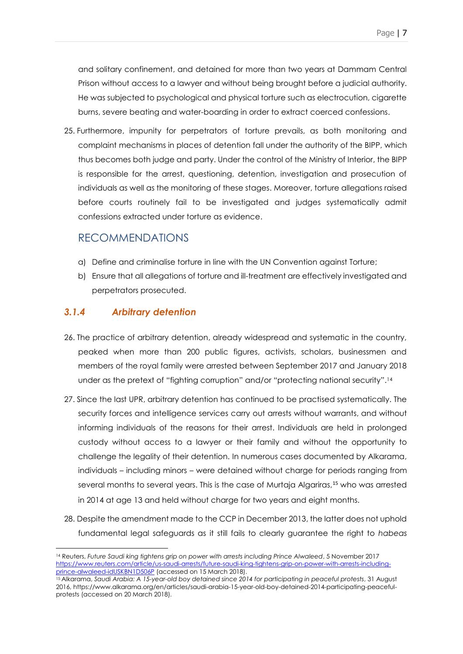and solitary confinement, and detained for more than two years at Dammam Central Prison without access to a lawyer and without being brought before a judicial authority. He was subjected to psychological and physical torture such as electrocution, cigarette burns, severe beating and water-boarding in order to extract coerced confessions.

25. Furthermore, impunity for perpetrators of torture prevails, as both monitoring and complaint mechanisms in places of detention fall under the authority of the BIPP, which thus becomes both judge and party. Under the control of the Ministry of Interior, the BIPP is responsible for the arrest, questioning, detention, investigation and prosecution of individuals as well as the monitoring of these stages. Moreover, torture allegations raised before courts routinely fail to be investigated and judges systematically admit confessions extracted under torture as evidence.

### RECOMMENDATIONS

- a) Define and criminalise torture in line with the UN Convention against Torture;
- b) Ensure that all allegations of torture and ill-treatment are effectively investigated and perpetrators prosecuted.

#### *3.1.4 Arbitrary detention*

- 26. The practice of arbitrary detention, already widespread and systematic in the country, peaked when more than 200 public figures, activists, scholars, businessmen and members of the royal family were arrested between September 2017 and January 2018 under as the pretext of "fighting corruption" and/or "protecting national security".<sup>14</sup>
- 27. Since the last UPR, arbitrary detention has continued to be practised systematically. The security forces and intelligence services carry out arrests without warrants, and without informing individuals of the reasons for their arrest. Individuals are held in prolonged custody without access to a lawyer or their family and without the opportunity to challenge the legality of their detention. In numerous cases documented by Alkarama, individuals – including minors – were detained without charge for periods ranging from several months to several years. This is the case of Murtaja Algariras,<sup>15</sup> who was arrested in 2014 at age 13 and held without charge for two years and eight months.
- 28. Despite the amendment made to the CCP in December 2013, the latter does not uphold fundamental legal safeguards as it still fails to clearly guarantee the right to *habeas*

<sup>14</sup> Reuters, *Future Saudi king tightens grip on power with arrests including Prince Alwaleed*, 5 November 2017 [https://www.reuters.com/article/us-saudi-arrests/future-saudi-king-tightens-grip-on-power-with-arrests-including](https://www.reuters.com/article/us-saudi-arrests/future-saudi-king-tightens-grip-on-power-with-arrests-including-prince-alwaleed-idUSKBN1D506P)[prince-alwaleed-idUSKBN1D506P](https://www.reuters.com/article/us-saudi-arrests/future-saudi-king-tightens-grip-on-power-with-arrests-including-prince-alwaleed-idUSKBN1D506P) (accessed on 15 March 2018).

<sup>15</sup> Alkarama, *Saudi Arabia: A 15-year-old boy detained since 2014 for participating in peaceful protests*, 31 August 2016, https://www.alkarama.org/en/articles/saudi-arabia-15-year-old-boy-detained-2014-participating-peacefulprotests (accessed on 20 March 2018).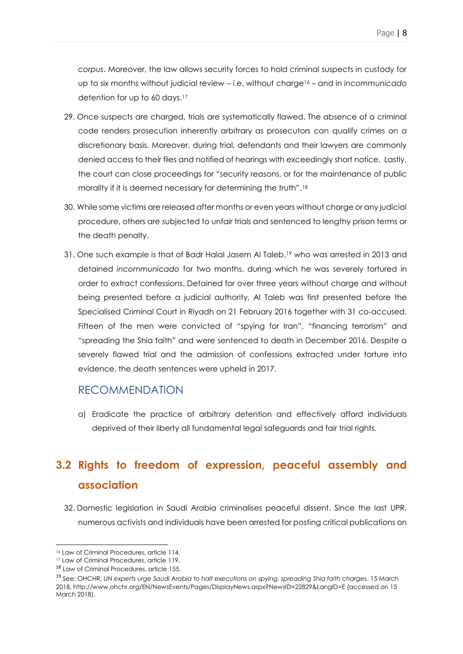*corpus*. Moreover, the law allows security forces to hold criminal suspects in custody for up to six months without judicial review – i.e. without charge<sup>16</sup> – and in *incommunicado* detention for up to 60 days. 17

- 29. Once suspects are charged, trials are systematically flawed. The absence of a criminal code renders prosecution inherently arbitrary as prosecutors can qualify crimes on a discretionary basis. Moreover, during trial, defendants and their lawyers are commonly denied access to their files and notified of hearings with exceedingly short notice. Lastly, the court can close proceedings for "security reasons, or for the maintenance of public morality if it is deemed necessary for determining the truth".<sup>18</sup>
- 30. While some victims are released after months or even years without charge or any judicial procedure, others are subjected to unfair trials and sentenced to lengthy prison terms or the death penalty.
- 31. One such example is that of Badr Halal Jasem Al Taleb, <sup>19</sup> who was arrested in 2013 and detained *incommunicado* for two months, during which he was severely tortured in order to extract confessions. Detained for over three years without charge and without being presented before a judicial authority, Al Taleb was first presented before the Specialised Criminal Court in Riyadh on 21 February 2016 together with 31 co-accused. Fifteen of the men were convicted of "spying for Iran", "financing terrorism" and "spreading the Shia faith" and were sentenced to death in December 2016. Despite a severely flawed trial and the admission of confessions extracted under torture into evidence, the death sentences were upheld in 2017.

### RECOMMENDATION

a) Eradicate the practice of arbitrary detention and effectively afford individuals deprived of their liberty all fundamental legal safeguards and fair trial rights.

### <span id="page-7-0"></span>**3.2 Rights to freedom of expression, peaceful assembly and association**

32. Domestic legislation in Saudi Arabia criminalises peaceful dissent. Since the last UPR, numerous activists and individuals have been arrested for posting critical publications on

<sup>16</sup> Law of Criminal Procedures, article 114.

<sup>17</sup> Law of Criminal Procedures, article 119.

<sup>18</sup> Law of Criminal Procedures, article 155.

<sup>19</sup> See: OHCHR, *UN experts urge Saudi Arabia to halt executions on spying, spreading Shia faith charges*, 15 March 2018, http://www.ohchr.org/EN/NewsEvents/Pages/DisplayNews.aspx?NewsID=22829&LangID=E (accessed on 15 March 2018).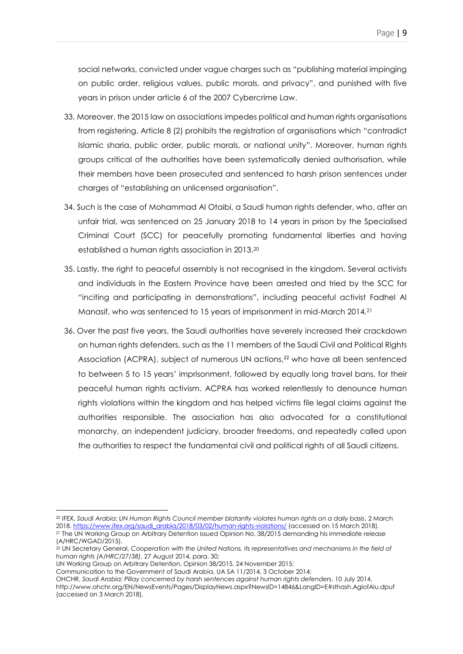social networks, convicted under vague charges such as "publishing material impinging on public order, religious values, public morals, and privacy", and punished with five years in prison under article 6 of the 2007 Cybercrime Law.

- 33. Moreover, the 2015 law on associations impedes political and human rights organisations from registering. Article 8 (2) prohibits the registration of organisations which "contradict Islamic sharia, public order, public morals, or national unity". Moreover, human rights groups critical of the authorities have been systematically denied authorisation, while their members have been prosecuted and sentenced to harsh prison sentences under charges of "establishing an unlicensed organisation".
- 34. Such is the case of Mohammad Al Otaibi, a Saudi human rights defender, who, after an unfair trial, was sentenced on 25 January 2018 to 14 years in prison by the Specialised Criminal Court (SCC) for peacefully promoting fundamental liberties and having established a human rights association in 2013. 20
- 35. Lastly, the right to peaceful assembly is not recognised in the kingdom. Several activists and individuals in the Eastern Province have been arrested and tried by the SCC for "inciting and participating in demonstrations", including peaceful activist Fadhel Al Manasif, who was sentenced to 15 years of imprisonment in mid-March 2014. 21
- 36. Over the past five years, the Saudi authorities have severely increased their crackdown on human rights defenders, such as the 11 members of the Saudi Civil and Political Rights Association (ACPRA), subject of numerous UN actions, <sup>22</sup> who have all been sentenced to between 5 to 15 years' imprisonment, followed by equally long travel bans, for their peaceful human rights activism. ACPRA has worked relentlessly to denounce human rights violations within the kingdom and has helped victims file legal claims against the authorities responsible. The association has also advocated for a constitutional monarchy, an independent judiciary, broader freedoms, and repeatedly called upon the authorities to respect the fundamental civil and political rights of all Saudi citizens.

<sup>20</sup> IFEX, *Saudi Arabia: UN Human Rights Council member blatantly violates human rights on a daily basis*, 2 March 2018[, https://www.ifex.org/saudi\\_arabia/2018/03/02/human-rights-violations/](https://www.ifex.org/saudi_arabia/2018/03/02/human-rights-violations/) (accessed on 15 March 2018). <sup>21</sup> The UN Working Group on Arbitrary Detention issued Opinion No. 38/2015 demanding his immediate release (A/HRC/WGAD/2015).

<sup>22</sup> UN Secretary General, *Cooperation with the United Nations, its representatives and mechanisms in the field of human rights (A/HRC/27/38)*, 27 August 2014, para. 30;

UN Working Group on Arbitrary Detention, Opinion 38/2015, 24 November 2015;

Communication to the Government of Saudi Arabia, UA SA 11/2014, 3 October 2014;

OHCHR, *Saudi Arabia: Pillay concerned by harsh sentences against human rights defenders*, 10 July 2014, http://www.ohchr.org/EN/NewsEvents/Pages/DisplayNews.aspx?NewsID=14846&LangID=E#sthash.AgiofAIu.dpuf (accessed on 3 March 2018).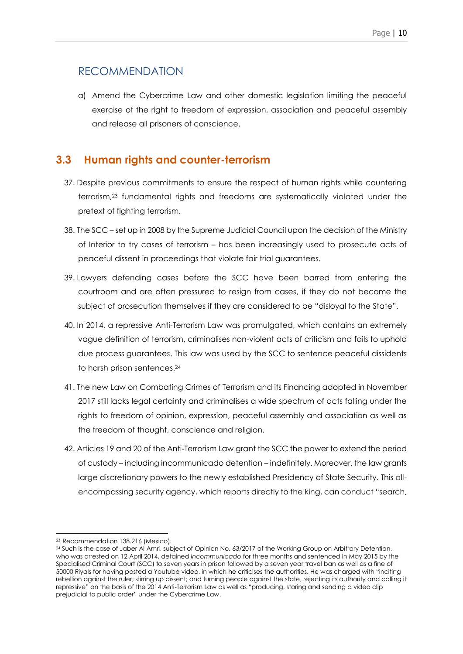### RECOMMENDATION

a) Amend the Cybercrime Law and other domestic legislation limiting the peaceful exercise of the right to freedom of expression, association and peaceful assembly and release all prisoners of conscience.

### <span id="page-9-0"></span>**3.3 Human rights and counter-terrorism**

- 37. Despite previous commitments to ensure the respect of human rights while countering terrorism, <sup>23</sup> fundamental rights and freedoms are systematically violated under the pretext of fighting terrorism.
- 38. The SCC set up in 2008 by the Supreme Judicial Council upon the decision of the Ministry of Interior to try cases of terrorism – has been increasingly used to prosecute acts of peaceful dissent in proceedings that violate fair trial guarantees.
- 39. Lawyers defending cases before the SCC have been barred from entering the courtroom and are often pressured to resign from cases, if they do not become the subject of prosecution themselves if they are considered to be "disloyal to the State".
- 40. In 2014, a repressive Anti-Terrorism Law was promulgated, which contains an extremely vague definition of terrorism, criminalises non-violent acts of criticism and fails to uphold due process guarantees. This law was used by the SCC to sentence peaceful dissidents to harsh prison sentences. 24
- 41. The new Law on Combating Crimes of Terrorism and its Financing adopted in November 2017 still lacks legal certainty and criminalises a wide spectrum of acts falling under the rights to freedom of opinion, expression, peaceful assembly and association as well as the freedom of thought, conscience and religion.
- 42. Articles 19 and 20 of the Anti-Terrorism Law grant the SCC the power to extend the period of custody – including incommunicado detention – indefinitely. Moreover, the law grants large discretionary powers to the newly established Presidency of State Security. This allencompassing security agency, which reports directly to the king, can conduct "search,

<sup>-</sup><sup>23</sup>Recommendation 138.216 (Mexico).

<sup>24</sup> Such is the case of Jaber Al Amri, subject of Opinion No. 63/2017 of the Working Group on Arbitrary Detention, who was arrested on 12 April 2014, detained *incommunicado* for three months and sentenced in May 2015 by the Specialised Criminal Court (SCC) to seven years in prison followed by a seven year travel ban as well as a fine of 50000 Riyals for having posted a Youtube video, in which he criticises the authorities. He was charged with "inciting rebellion against the ruler; stirring up dissent; and turning people against the state, rejecting its authority and calling it repressive" on the basis of the 2014 Anti-Terrorism Law as well as "producing, storing and sending a video clip prejudicial to public order" under the Cybercrime Law.